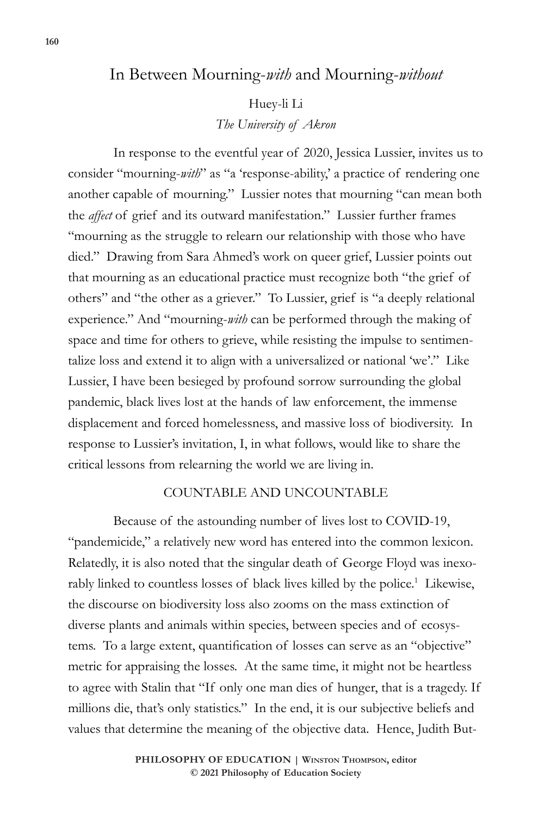# In Between Mourning-*with* and Mourning-*without*

#### Huey-li Li

*The University of Akron*

In response to the eventful year of 2020, Jessica Lussier, invites us to consider "mourning-*with*" as "a 'response-ability,' a practice of rendering one another capable of mourning." Lussier notes that mourning "can mean both the *affect* of grief and its outward manifestation." Lussier further frames "mourning as the struggle to relearn our relationship with those who have died." Drawing from Sara Ahmed's work on queer grief, Lussier points out that mourning as an educational practice must recognize both "the grief of others" and "the other as a griever." To Lussier, grief is "a deeply relational experience." And "mourning-*with* can be performed through the making of space and time for others to grieve, while resisting the impulse to sentimentalize loss and extend it to align with a universalized or national 'we'." Like Lussier, I have been besieged by profound sorrow surrounding the global pandemic, black lives lost at the hands of law enforcement, the immense displacement and forced homelessness, and massive loss of biodiversity. In response to Lussier's invitation, I, in what follows, would like to share the critical lessons from relearning the world we are living in.

## COUNTABLE AND UNCOUNTABLE

Because of the astounding number of lives lost to COVID-19, "pandemicide," a relatively new word has entered into the common lexicon. Relatedly, it is also noted that the singular death of George Floyd was inexorably linked to countless losses of black lives killed by the police.<sup>1</sup> Likewise, the discourse on biodiversity loss also zooms on the mass extinction of diverse plants and animals within species, between species and of ecosystems. To a large extent, quantification of losses can serve as an "objective" metric for appraising the losses. At the same time, it might not be heartless to agree with Stalin that "If only one man dies of hunger, that is a tragedy. If millions die, that's only statistics." In the end, it is our subjective beliefs and values that determine the meaning of the objective data. Hence, Judith But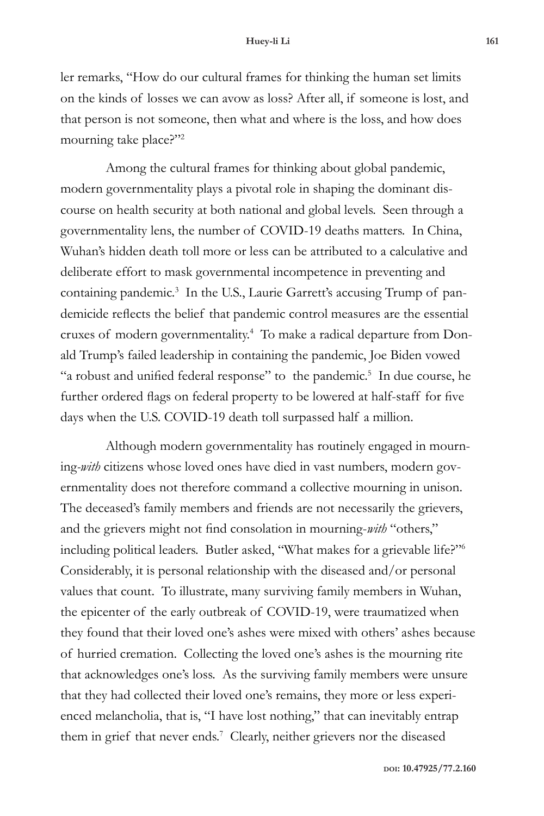ler remarks, "How do our cultural frames for thinking the human set limits on the kinds of losses we can avow as loss? After all, if someone is lost, and that person is not someone, then what and where is the loss, and how does mourning take place?"<sup>2</sup>

Among the cultural frames for thinking about global pandemic, modern governmentality plays a pivotal role in shaping the dominant discourse on health security at both national and global levels. Seen through a governmentality lens, the number of COVID-19 deaths matters. In China, Wuhan's hidden death toll more or less can be attributed to a calculative and deliberate effort to mask governmental incompetence in preventing and containing pandemic.<sup>3</sup> In the U.S., Laurie Garrett's accusing Trump of pandemicide reflects the belief that pandemic control measures are the essential cruxes of modern governmentality.4 To make a radical departure from Donald Trump's failed leadership in containing the pandemic, Joe Biden vowed "a robust and unified federal response" to the pandemic.<sup>5</sup> In due course, he further ordered flags on federal property to be lowered at half-staff for five days when the U.S. COVID-19 death toll surpassed half a million.

Although modern governmentality has routinely engaged in mourning*-with* citizens whose loved ones have died in vast numbers, modern governmentality does not therefore command a collective mourning in unison. The deceased's family members and friends are not necessarily the grievers, and the grievers might not find consolation in mourning-*with* "others," including political leaders. Butler asked, "What makes for a grievable life?"6 Considerably, it is personal relationship with the diseased and/or personal values that count. To illustrate, many surviving family members in Wuhan, the epicenter of the early outbreak of COVID-19, were traumatized when they found that their loved one's ashes were mixed with others' ashes because of hurried cremation. Collecting the loved one's ashes is the mourning rite that acknowledges one's loss. As the surviving family members were unsure that they had collected their loved one's remains, they more or less experienced melancholia, that is, "I have lost nothing," that can inevitably entrap them in grief that never ends.<sup>7</sup> Clearly, neither grievers nor the diseased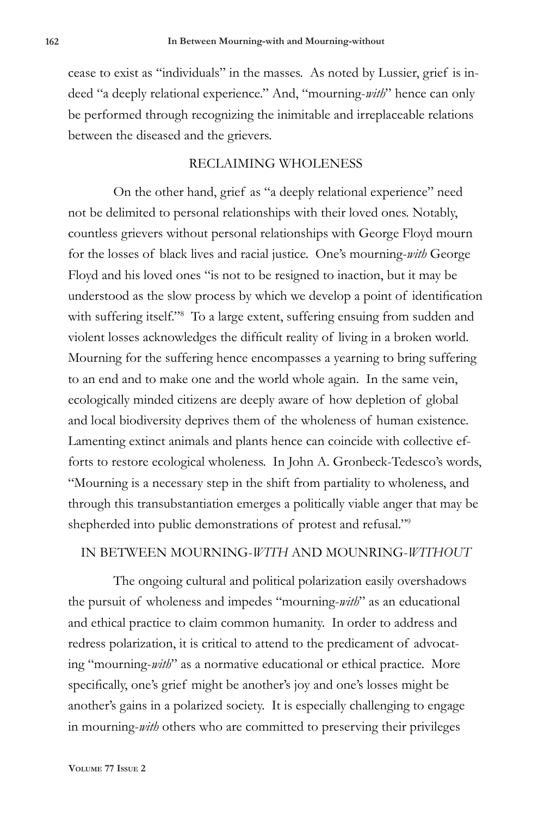cease to exist as "individuals" in the masses. As noted by Lussier, grief is indeed "a deeply relational experience." And, "mourning-*with*" hence can only be performed through recognizing the inimitable and irreplaceable relations between the diseased and the grievers.

### RECLAIMING WHOLENESS

On the other hand, grief as "a deeply relational experience" need not be delimited to personal relationships with their loved ones. Notably, countless grievers without personal relationships with George Floyd mourn for the losses of black lives and racial justice. One's mourning-*with* George Floyd and his loved ones "is not to be resigned to inaction, but it may be understood as the slow process by which we develop a point of identification with suffering itself."<sup>8</sup> To a large extent, suffering ensuing from sudden and violent losses acknowledges the difficult reality of living in a broken world. Mourning for the suffering hence encompasses a yearning to bring suffering to an end and to make one and the world whole again. In the same vein, ecologically minded citizens are deeply aware of how depletion of global and local biodiversity deprives them of the wholeness of human existence. Lamenting extinct animals and plants hence can coincide with collective efforts to restore ecological wholeness. In John A. Gronbeck-Tedesco's words, "Mourning is a necessary step in the shift from partiality to wholeness, and through this transubstantiation emerges a politically viable anger that may be shepherded into public demonstrations of protest and refusal."9

## IN BETWEEN MOURNING-*WITH* AND MOUNRING-*WITHOUT*

The ongoing cultural and political polarization easily overshadows the pursuit of wholeness and impedes "mourning-*with*" as an educational and ethical practice to claim common humanity. In order to address and redress polarization, it is critical to attend to the predicament of advocating "mourning-*with*" as a normative educational or ethical practice. More specifically, one's grief might be another's joy and one's losses might be another's gains in a polarized society. It is especially challenging to engage in mourning-*with* others who are committed to preserving their privileges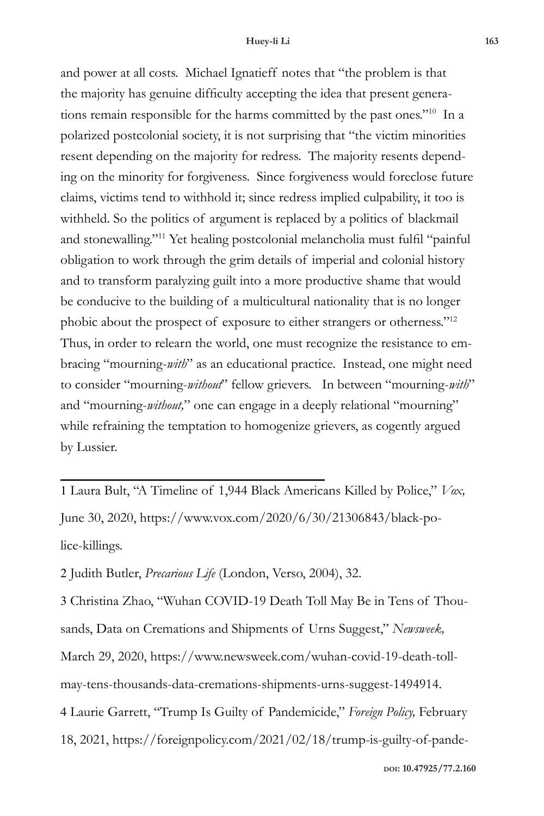and power at all costs. Michael Ignatieff notes that "the problem is that the majority has genuine difficulty accepting the idea that present generations remain responsible for the harms committed by the past ones."10 In a polarized postcolonial society, it is not surprising that "the victim minorities resent depending on the majority for redress. The majority resents depending on the minority for forgiveness. Since forgiveness would foreclose future claims, victims tend to withhold it; since redress implied culpability, it too is withheld. So the politics of argument is replaced by a politics of blackmail and stonewalling."11 Yet healing postcolonial melancholia must fulfil "painful obligation to work through the grim details of imperial and colonial history and to transform paralyzing guilt into a more productive shame that would be conducive to the building of a multicultural nationality that is no longer phobic about the prospect of exposure to either strangers or otherness."12 Thus, in order to relearn the world, one must recognize the resistance to embracing "mourning-*with*" as an educational practice. Instead, one might need to consider "mourning-*without*" fellow grievers. In between "mourning-*with*" and "mourning-*without,*" one can engage in a deeply relational "mourning" while refraining the temptation to homogenize grievers, as cogently argued by Lussier.

1 Laura Bult, "A Timeline of 1,944 Black Americans Killed by Police," *Vox,* June 30, 2020, https://www.vox.com/2020/6/30/21306843/black-police-killings.

2 Judith Butler, *Precarious Life* (London, Verso, 2004), 32.

3 Christina Zhao, "Wuhan COVID-19 Death Toll May Be in Tens of Thousands, Data on Cremations and Shipments of Urns Suggest," *Newsweek,*  March 29, 2020, https://www.newsweek.com/wuhan-covid-19-death-tollmay-tens-thousands-data-cremations-shipments-urns-suggest-1494914. 4 Laurie Garrett, "Trump Is Guilty of Pandemicide," *Foreign Policy,* February 18, 2021, https://foreignpolicy.com/2021/02/18/trump-is-guilty-of-pande